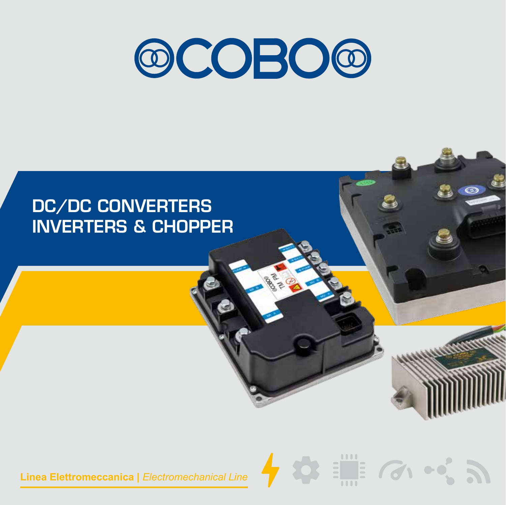

 $\odot$ 

 $4$  &  $\mathbb{R}$   $\alpha$  .

# DC/DC CONVERTERS INVERTERS & CHOPPER

**Linea Elettromeccanica |** *Electromechanical Line*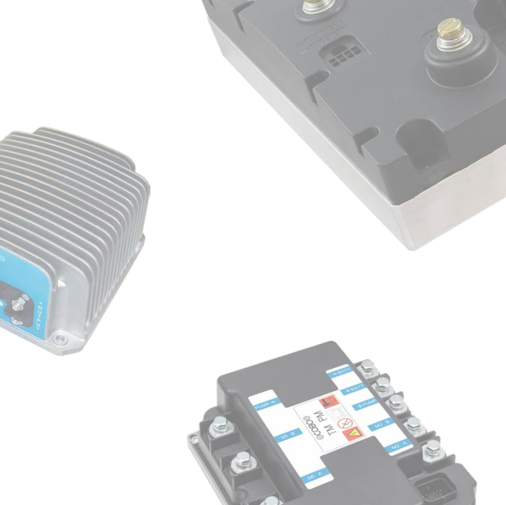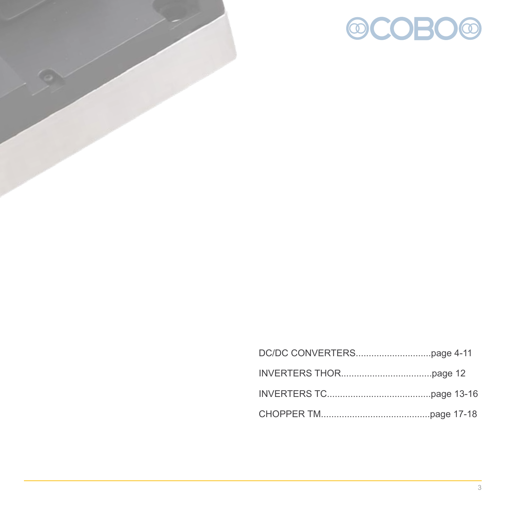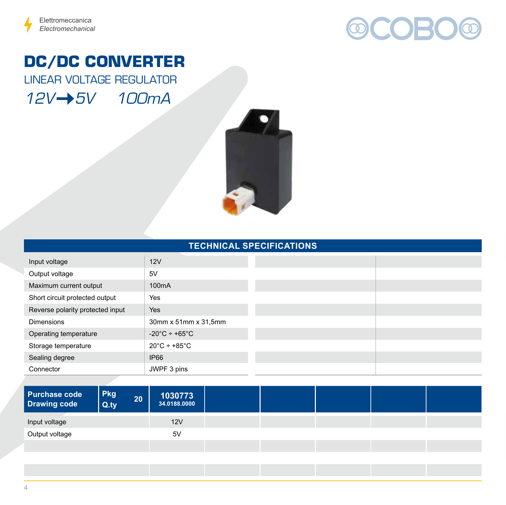



#### **DC/DC CONVERTER** LINEAR VOLTAGE REGULATOR

*12V 5V 100mA*



| <b>TECHNICAL SPECIFICATIONS</b>  |                                    |  |  |  |  |
|----------------------------------|------------------------------------|--|--|--|--|
| Input voltage                    | 12V                                |  |  |  |  |
| Output voltage                   | 5V                                 |  |  |  |  |
| Maximum current output           | 100 <sub>m</sub> A                 |  |  |  |  |
| Short circuit protected output   | Yes                                |  |  |  |  |
| Reverse polarity protected input | <b>Yes</b>                         |  |  |  |  |
| <b>Dimensions</b>                | 30mm x 51mm x 31,5mm               |  |  |  |  |
| Operating temperature            | $-20^{\circ}$ C ÷ +65 $^{\circ}$ C |  |  |  |  |
| Storage temperature              | $20^{\circ}$ C ÷ +85 $^{\circ}$ C  |  |  |  |  |
| Sealing degree                   | <b>IP66</b>                        |  |  |  |  |
| Connector                        | JWPF 3 pins                        |  |  |  |  |

| <b>Purchase code</b><br>Drawing code | Pkg<br>Q.ty | 20 | 1030773<br>34.0188.0000 |  |  |  |
|--------------------------------------|-------------|----|-------------------------|--|--|--|
| Input voltage                        |             |    | 12V                     |  |  |  |
| Output voltage                       |             |    | 5V                      |  |  |  |
|                                      |             |    |                         |  |  |  |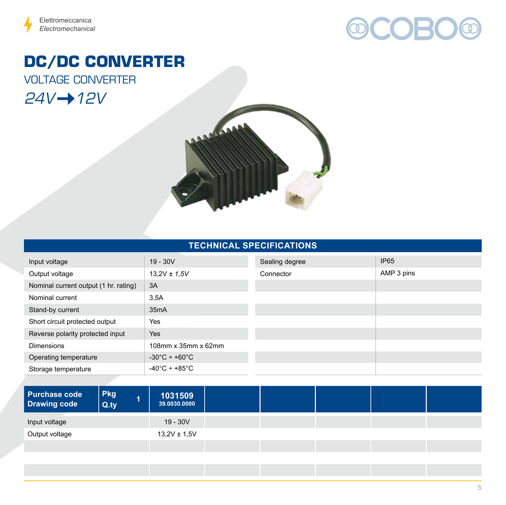



## **DC/DC CONVERTER** VOLTAGE CONVERTER *24V 12V*



| <b>TECHNICAL SPECIFICATIONS</b>       |                                    |                |             |  |  |  |
|---------------------------------------|------------------------------------|----------------|-------------|--|--|--|
| Input voltage                         | $19 - 30V$                         | Sealing degree | <b>IP65</b> |  |  |  |
| Output voltage                        | $13.2V \pm 1.5V$                   | Connector      | AMP 3 pins  |  |  |  |
| Nominal current output (1 hr. rating) | 3A                                 |                |             |  |  |  |
| Nominal current                       | 3,5A                               |                |             |  |  |  |
| Stand-by current                      | 35 <sub>m</sub> A                  |                |             |  |  |  |
| Short circuit protected output        | Yes                                |                |             |  |  |  |
| Reverse polarity protected input      | <b>Yes</b>                         |                |             |  |  |  |
| <b>Dimensions</b>                     | 108mm x 35mm x 62mm                |                |             |  |  |  |
| Operating temperature                 | $-30^{\circ}$ C ÷ +60 $^{\circ}$ C |                |             |  |  |  |
| Storage temperature                   | $-40^{\circ}$ C ÷ +85 $^{\circ}$ C |                |             |  |  |  |

| <b>Purchase code</b><br><b>Drawing code</b> | Pkg<br>Q.ty | 1031509<br>39.0030.0000 |  |  |  |
|---------------------------------------------|-------------|-------------------------|--|--|--|
| Input voltage                               |             | $19 - 30V$              |  |  |  |
| Output voltage                              |             | $13,2V \pm 1,5V$        |  |  |  |
|                                             |             |                         |  |  |  |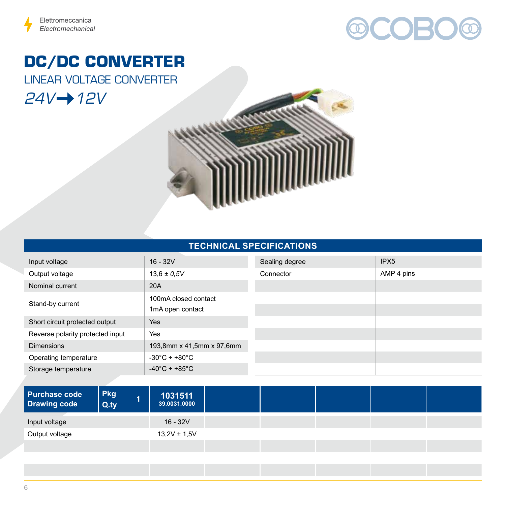

# **DC/DC CONVERTER** LINEAR VOLTAGE CONVERTER *24V 12V*



| <b>TECHNICAL SPECIFICATIONS</b>  |                                          |                |                  |  |  |
|----------------------------------|------------------------------------------|----------------|------------------|--|--|
| Input voltage                    | $16 - 32V$                               | Sealing degree | IPX <sub>5</sub> |  |  |
| Output voltage                   | $13.6 \pm 0.5V$                          | Connector      | AMP 4 pins       |  |  |
| Nominal current                  | 20A                                      |                |                  |  |  |
| Stand-by current                 | 100mA closed contact<br>1mA open contact |                |                  |  |  |
| Short circuit protected output   | <b>Yes</b>                               |                |                  |  |  |
| Reverse polarity protected input | Yes                                      |                |                  |  |  |
| <b>Dimensions</b>                | 193,8mm x 41,5mm x 97,6mm                |                |                  |  |  |
| Operating temperature            | $-30^{\circ}$ C ÷ +80 $^{\circ}$ C       |                |                  |  |  |
| Storage temperature              | $-40^{\circ}$ C ÷ +85 $^{\circ}$ C       |                |                  |  |  |

| <b>Purchase code</b><br><b>Drawing code</b> | Pkg<br>Q.ty | 1031511<br>39.0031.0000 |  |  |  |
|---------------------------------------------|-------------|-------------------------|--|--|--|
| Input voltage                               |             | $16 - 32V$              |  |  |  |
| Output voltage                              |             | $13,2V \pm 1,5V$        |  |  |  |
|                                             |             |                         |  |  |  |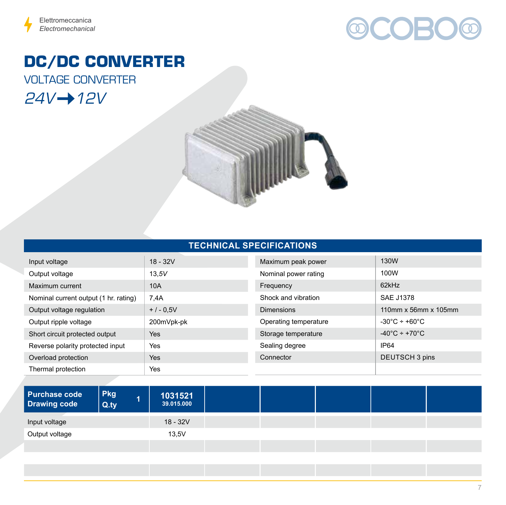



## **DC/DC CONVERTER** VOLTAGE CONVERTER *24V 12V*

| <b>TECHNICAL SPECIFICATIONS</b>       |              |                       |                                    |  |  |  |
|---------------------------------------|--------------|-----------------------|------------------------------------|--|--|--|
| Input voltage                         | $18 - 32V$   | Maximum peak power    | 130W                               |  |  |  |
| Output voltage                        | 13.5V        | Nominal power rating  | 100W                               |  |  |  |
| Maximum current                       | 10A          | Frequency             | 62kHz                              |  |  |  |
| Nominal current output (1 hr. rating) | 7.4A         | Shock and vibration   | <b>SAE J1378</b>                   |  |  |  |
| Output voltage regulation             | $+ / - 0.5V$ | <b>Dimensions</b>     | 110mm x 56mm x 105mm               |  |  |  |
| Output ripple voltage                 | 200mVpk-pk   | Operating temperature | $-30^{\circ}$ C ÷ +60 $^{\circ}$ C |  |  |  |
| Short circuit protected output        | <b>Yes</b>   | Storage temperature   | $-40^{\circ}$ C ÷ +70 $^{\circ}$ C |  |  |  |
| Reverse polarity protected input      | Yes          | Sealing degree        | IP64                               |  |  |  |
| Overload protection                   | <b>Yes</b>   | Connector             | <b>DEUTSCH 3 pins</b>              |  |  |  |
| Thermal protection                    | Yes          |                       |                                    |  |  |  |

| Purchase code<br><b>Drawing code</b> | <b>Pkg</b><br>Q.ty | 1031521<br>39.015.000 |  |  |  |
|--------------------------------------|--------------------|-----------------------|--|--|--|
| Input voltage                        |                    | $18 - 32V$            |  |  |  |
| Output voltage                       |                    | 13,5V                 |  |  |  |
|                                      |                    |                       |  |  |  |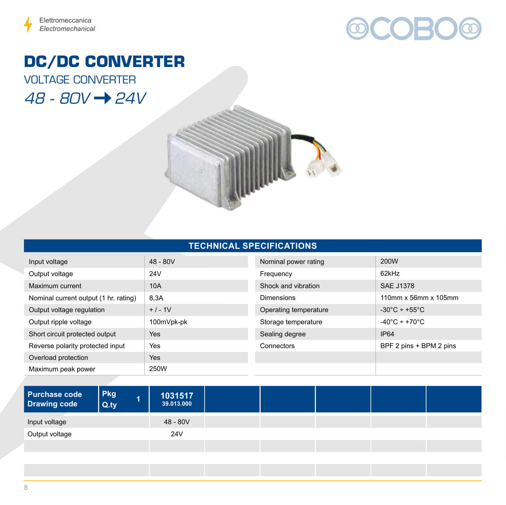



# **DC/DC CONVERTER** VOLTAGE CONVERTER *48 - 80V 24V*

| <b>TECHNICAL SPECIFICATIONS</b>       |            |                       |                                    |  |  |  |
|---------------------------------------|------------|-----------------------|------------------------------------|--|--|--|
| Input voltage                         | $48 - 80V$ | Nominal power rating  | 200W                               |  |  |  |
| Output voltage                        | 24V        | Frequency             | 62kHz                              |  |  |  |
| Maximum current                       | 10A        | Shock and vibration   | <b>SAE J1378</b>                   |  |  |  |
| Nominal current output (1 hr. rating) | 8,3A       | <b>Dimensions</b>     | 110mm x 56mm x 105mm               |  |  |  |
| Output voltage regulation             | $+/-1V$    | Operating temperature | $-30^{\circ}$ C ÷ +55 $^{\circ}$ C |  |  |  |
| Output ripple voltage                 | 100mVpk-pk | Storage temperature   | $-40^{\circ}$ C ÷ +70 $^{\circ}$ C |  |  |  |
| Short circuit protected output        | Yes        | Sealing degree        | <b>IP64</b>                        |  |  |  |
| Reverse polarity protected input      | Yes        | Connectors            | BPF 2 pins + BPM 2 pins            |  |  |  |
| Overload protection                   | Yes        |                       |                                    |  |  |  |
| Maximum peak power                    | 250W       |                       |                                    |  |  |  |

| Pkg<br>Q.ty | 1031517<br>39.013.000 |  |  |  |
|-------------|-----------------------|--|--|--|
|             | $48 - 80V$            |  |  |  |
|             | 24V                   |  |  |  |
|             |                       |  |  |  |
|             |                       |  |  |  |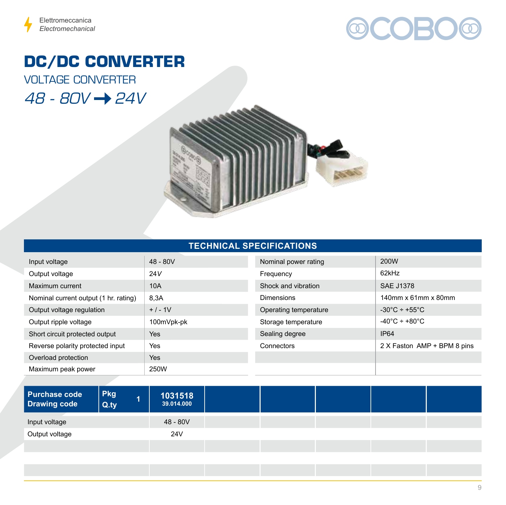



# **DC/DC CONVERTER** VOLTAGE CONVERTER *48 - 80V 24V*



| <b>TECHNICAL SPECIFICATIONS</b>       |            |                       |                                    |  |  |  |  |  |
|---------------------------------------|------------|-----------------------|------------------------------------|--|--|--|--|--|
| Input voltage                         | $48 - 80V$ | Nominal power rating  | 200W                               |  |  |  |  |  |
| Output voltage                        | 24V        | Frequency             | 62kHz                              |  |  |  |  |  |
| Maximum current                       | 10A        | Shock and vibration   | <b>SAE J1378</b>                   |  |  |  |  |  |
| Nominal current output (1 hr. rating) | 8,3A       | <b>Dimensions</b>     | $140$ mm x 61mm x 80mm             |  |  |  |  |  |
| Output voltage regulation             | $+ / - 1V$ | Operating temperature | $-30^{\circ}$ C ÷ +55 $^{\circ}$ C |  |  |  |  |  |
| Output ripple voltage                 | 100mVpk-pk | Storage temperature   | $-40^{\circ}$ C ÷ +80 $^{\circ}$ C |  |  |  |  |  |
| Short circuit protected output        | <b>Yes</b> | Sealing degree        | <b>IP64</b>                        |  |  |  |  |  |
| Reverse polarity protected input      | Yes        | Connectors            | 2 X Faston AMP + BPM 8 pins        |  |  |  |  |  |
| Overload protection                   | <b>Yes</b> |                       |                                    |  |  |  |  |  |
| Maximum peak power                    | 250W       |                       |                                    |  |  |  |  |  |

| <b>Purchase code</b><br><b>Drawing code</b> | Pkg<br>Q.ty | 1031518<br>39.014.000 |  |  |  |
|---------------------------------------------|-------------|-----------------------|--|--|--|
| Input voltage                               |             | 48 - 80V              |  |  |  |
| Output voltage                              |             | 24 <sub>V</sub>       |  |  |  |
|                                             |             |                       |  |  |  |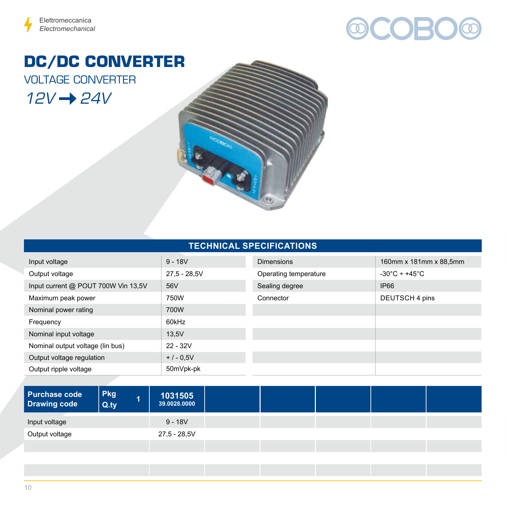



# **DC/DC CONVERTER** VOLTAGE CONVERTER *12V 24V*



| <b>TECHNICAL SPECIFICATIONS</b>     |                |                       |                                    |  |  |  |  |  |  |
|-------------------------------------|----------------|-----------------------|------------------------------------|--|--|--|--|--|--|
| Input voltage                       | $9 - 18V$      | Dimensions            | 160mm x 181mm x 88,5mm             |  |  |  |  |  |  |
| Output voltage                      | $27.5 - 28.5V$ | Operating temperature | $-30^{\circ}$ C ÷ +45 $^{\circ}$ C |  |  |  |  |  |  |
| Input current @ POUT 700W Vin 13,5V | 56V            | Sealing degree        | IP66                               |  |  |  |  |  |  |
| Maximum peak power                  | 750W           | Connector             | DEUTSCH 4 pins                     |  |  |  |  |  |  |
| Nominal power rating                | 700W           |                       |                                    |  |  |  |  |  |  |
| Frequency                           | 60kHz          |                       |                                    |  |  |  |  |  |  |
| Nominal input voltage               | 13,5V          |                       |                                    |  |  |  |  |  |  |
| Nominal output voltage (lin bus)    | $22 - 32V$     |                       |                                    |  |  |  |  |  |  |
| Output voltage regulation           | $+/-0.5V$      |                       |                                    |  |  |  |  |  |  |
| Output ripple voltage               | 50mVpk-pk      |                       |                                    |  |  |  |  |  |  |

| <b>Purchase code</b><br><b>Drawing code</b> | Pkg<br>Q.ty | 1031505<br>39.0028.0000 |  |  |  |
|---------------------------------------------|-------------|-------------------------|--|--|--|
| Input voltage                               |             | $9 - 18V$               |  |  |  |
| Output voltage                              |             | $27,5 - 28,5V$          |  |  |  |
|                                             |             |                         |  |  |  |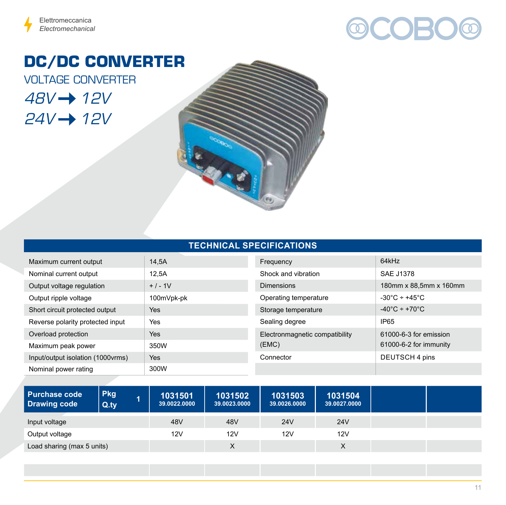



# **DC/DC CONVERTER** VOLTAGE CONVERTER *48V 12V 24V 12V*



| <b>TECHNICAL SPECIFICATIONS</b>   |            |                                |                                    |  |  |  |  |  |
|-----------------------------------|------------|--------------------------------|------------------------------------|--|--|--|--|--|
| Maximum current output            | 14,5A      | Frequency                      | 64kHz                              |  |  |  |  |  |
| Nominal current output            | 12.5A      | Shock and vibration            | <b>SAE J1378</b>                   |  |  |  |  |  |
| Output voltage regulation         | $+$ / - 1V | <b>Dimensions</b>              | 180mm x 88,5mm x 160mm             |  |  |  |  |  |
| Output ripple voltage             | 100mVpk-pk | Operating temperature          | $-30^{\circ}$ C ÷ +45 $^{\circ}$ C |  |  |  |  |  |
| Short circuit protected output    | <b>Yes</b> | Storage temperature            | $-40^{\circ}$ C ÷ +70 $^{\circ}$ C |  |  |  |  |  |
| Reverse polarity protected input  | Yes        | Sealing degree                 | IP <sub>65</sub>                   |  |  |  |  |  |
| Overload protection               | <b>Yes</b> | Electronmagnetic compatibility | 61000-6-3 for emission             |  |  |  |  |  |
| Maximum peak power                | 350W       | (EMC)                          | 61000-6-2 for immunity             |  |  |  |  |  |
| Input/output isolation (1000vrms) | Yes        | Connector                      | DEUTSCH 4 pins                     |  |  |  |  |  |
| Nominal power rating              | 300W       |                                |                                    |  |  |  |  |  |

| <b>Purchase code</b><br><b>Drawing code</b> | <b>Pkg</b><br>$Q_{\text{y}}$ | 1031501<br>39.0022.0000 | 1031502<br>39.0023.0000 | 1031503<br>39.0026.0000 | 1031504<br>39.0027.0000 |  |
|---------------------------------------------|------------------------------|-------------------------|-------------------------|-------------------------|-------------------------|--|
| Input voltage                               |                              | 48V                     | 48V                     | <b>24V</b>              | <b>24V</b>              |  |
| Output voltage                              |                              | 12V                     | 12V                     | 12V                     | 12V                     |  |
| Load sharing (max 5 units)                  |                              |                         | X                       |                         | Χ                       |  |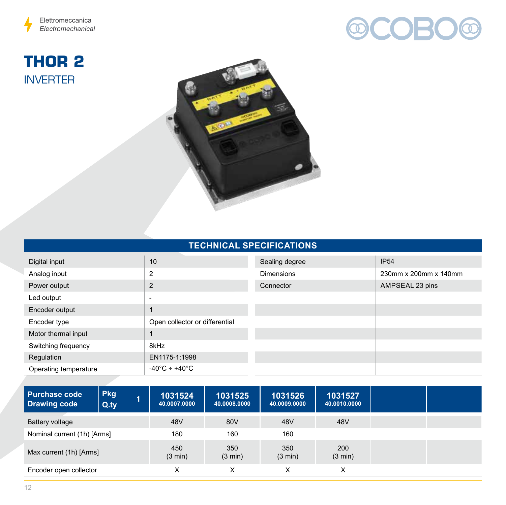

**THOR 2**

INVERTER

# @COBO@



| <b>TECHNICAL SPECIFICATIONS</b> |                                    |                   |                       |  |  |  |  |  |
|---------------------------------|------------------------------------|-------------------|-----------------------|--|--|--|--|--|
| Digital input                   | 10                                 | Sealing degree    | IP54                  |  |  |  |  |  |
| Analog input                    | $\overline{2}$                     | <b>Dimensions</b> | 230mm x 200mm x 140mm |  |  |  |  |  |
| Power output                    | $\overline{2}$                     | Connector         | AMPSEAL 23 pins       |  |  |  |  |  |
| Led output                      | $\overline{\phantom{0}}$           |                   |                       |  |  |  |  |  |
| Encoder output                  | $\overline{\phantom{a}}$           |                   |                       |  |  |  |  |  |
| Encoder type                    | Open collector or differential     |                   |                       |  |  |  |  |  |
| Motor thermal input             |                                    |                   |                       |  |  |  |  |  |
| Switching frequency             | 8kHz                               |                   |                       |  |  |  |  |  |
| Regulation                      | EN1175-1:1998                      |                   |                       |  |  |  |  |  |
| Operating temperature           | $-40^{\circ}$ C ÷ +40 $^{\circ}$ C |                   |                       |  |  |  |  |  |

| <b>Purchase code</b><br>Drawing code | <b>Pkg</b><br>Q.ty | 1031524<br>40.0007.0000 | 1031525<br>40.0008.0000 | 1031526<br>40.0009.0000  | 1031527<br>40.0010.0000 |  |
|--------------------------------------|--------------------|-------------------------|-------------------------|--------------------------|-------------------------|--|
| <b>Battery voltage</b>               |                    | 48V                     | 80V                     | 48V                      | 48V                     |  |
| Nominal current (1h) [Arms]          |                    | 180                     | 160                     | 160                      |                         |  |
| Max current (1h) [Arms]              |                    | 450<br>(3 min)          | 350<br>(3 min)          | 350<br>$(3 \text{ min})$ | 200<br>(3 min)          |  |
| Encoder open collector               |                    | x                       | x                       | x                        | X                       |  |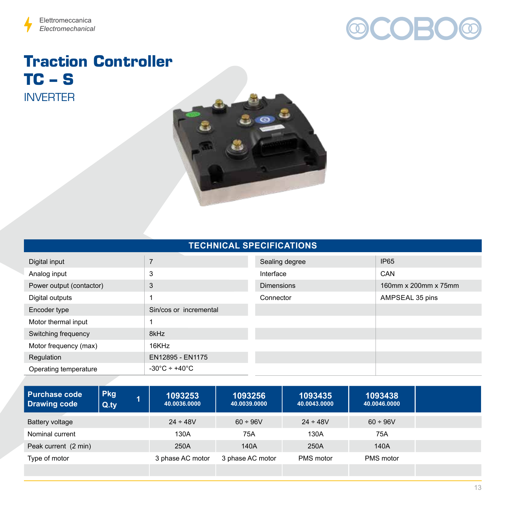

## **Traction Controller TC – S** INVERTER



| <b>TECHNICAL SPECIFICATIONS</b> |                                    |                   |                      |  |  |  |  |  |
|---------------------------------|------------------------------------|-------------------|----------------------|--|--|--|--|--|
| Digital input                   | $\overline{7}$                     | Sealing degree    | IP <sub>65</sub>     |  |  |  |  |  |
| Analog input                    | 3                                  | Interface         | CAN                  |  |  |  |  |  |
| Power output (contactor)        | 3                                  | <b>Dimensions</b> | 160mm x 200mm x 75mm |  |  |  |  |  |
| Digital outputs                 |                                    | Connector         | AMPSEAL 35 pins      |  |  |  |  |  |
| Encoder type                    | Sin/cos or incremental             |                   |                      |  |  |  |  |  |
| Motor thermal input             |                                    |                   |                      |  |  |  |  |  |
| Switching frequency             | 8kHz                               |                   |                      |  |  |  |  |  |
| Motor frequency (max)           | 16KHz                              |                   |                      |  |  |  |  |  |
| Regulation                      | EN12895 - EN1175                   |                   |                      |  |  |  |  |  |
| Operating temperature           | $-30^{\circ}$ C ÷ +40 $^{\circ}$ C |                   |                      |  |  |  |  |  |

| <b>Purchase code</b><br>Drawing code | <b>Pkg</b><br>Q.ty | 1093253<br>40.0036.0000 | 1093256<br>40.0039.0000 | 1093435<br>40.0043.0000 | 1093438<br>40.0046.0000 |
|--------------------------------------|--------------------|-------------------------|-------------------------|-------------------------|-------------------------|
| Battery voltage                      |                    | $24 \div 48V$           | $60 \div 96V$           | $24 \div 48V$           | $60 \div 96V$           |
| Nominal current                      |                    | 130A                    | 75A                     | 130A                    | 75A                     |
| Peak current (2 min)                 |                    | 250A                    | 140A                    | 250A                    | 140A                    |
| Type of motor                        |                    | 3 phase AC motor        | 3 phase AC motor        | <b>PMS</b> motor        | PMS motor               |
|                                      |                    |                         |                         |                         |                         |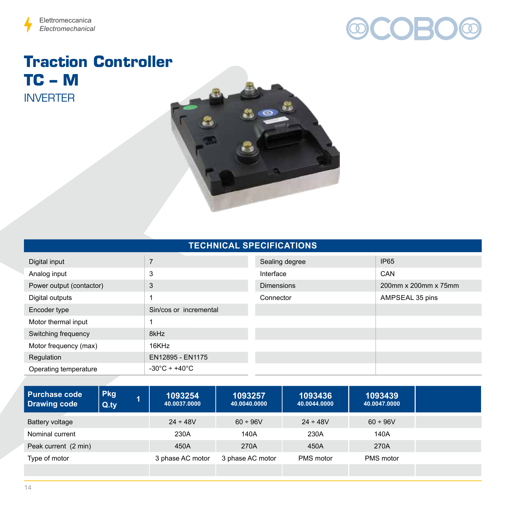

### **Traction Controller TC – M** INVERTER



| <b>TECHNICAL SPECIFICATIONS</b> |                                    |                   |                      |  |  |  |  |  |
|---------------------------------|------------------------------------|-------------------|----------------------|--|--|--|--|--|
| Digital input                   | $\overline{7}$                     | Sealing degree    | IP <sub>65</sub>     |  |  |  |  |  |
| Analog input                    | 3                                  | Interface         | CAN                  |  |  |  |  |  |
| Power output (contactor)        | 3                                  | <b>Dimensions</b> | 200mm x 200mm x 75mm |  |  |  |  |  |
| Digital outputs                 |                                    | Connector         | AMPSEAL 35 pins      |  |  |  |  |  |
| Encoder type                    | Sin/cos or incremental             |                   |                      |  |  |  |  |  |
| Motor thermal input             |                                    |                   |                      |  |  |  |  |  |
| Switching frequency             | 8kHz                               |                   |                      |  |  |  |  |  |
| Motor frequency (max)           | 16KHz                              |                   |                      |  |  |  |  |  |
| Regulation                      | EN12895 - EN1175                   |                   |                      |  |  |  |  |  |
| Operating temperature           | $-30^{\circ}$ C ÷ +40 $^{\circ}$ C |                   |                      |  |  |  |  |  |

| <b>Purchase code</b><br><b>Drawing code</b> | <b>Pkg</b><br>Q.ty | 1093254<br>40.0037.0000 | 1093257<br>40.0040.0000 | 1093436<br>40.0044.0000 | 1093439<br>40.0047.0000 |
|---------------------------------------------|--------------------|-------------------------|-------------------------|-------------------------|-------------------------|
| <b>Battery voltage</b>                      |                    | $24 \div 48V$           | $60 \div 96V$           | $24 \div 48V$           | $60 \div 96V$           |
| Nominal current                             |                    | 230A                    | 140A                    | 230A                    | 140A                    |
| Peak current (2 min)                        |                    | 450A                    | 270A                    | 450A                    | 270A                    |
| Type of motor                               |                    | 3 phase AC motor        | 3 phase AC motor        | <b>PMS</b> motor        | PMS motor               |
|                                             |                    |                         |                         |                         |                         |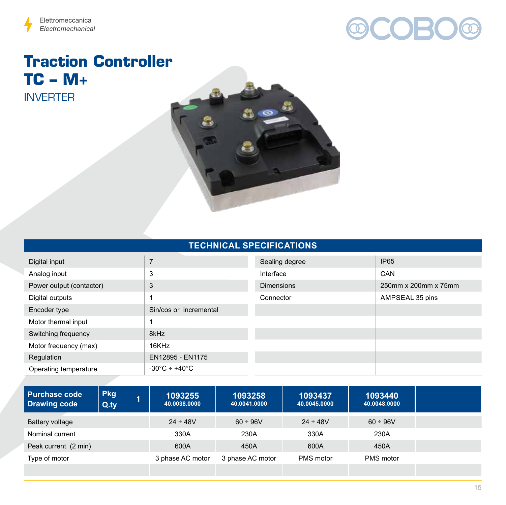

## **Traction Controller TC – M+** INVERTER



| <b>TECHNICAL SPECIFICATIONS</b> |                                    |                   |                      |  |  |  |  |  |  |  |  |  |
|---------------------------------|------------------------------------|-------------------|----------------------|--|--|--|--|--|--|--|--|--|
| Digital input                   | $\overline{7}$                     | Sealing degree    | <b>IP65</b>          |  |  |  |  |  |  |  |  |  |
| Analog input                    | 3                                  | Interface         | CAN                  |  |  |  |  |  |  |  |  |  |
| Power output (contactor)        | 3                                  | <b>Dimensions</b> | 250mm x 200mm x 75mm |  |  |  |  |  |  |  |  |  |
| Digital outputs                 |                                    | Connector         | AMPSEAL 35 pins      |  |  |  |  |  |  |  |  |  |
| Encoder type                    | Sin/cos or incremental             |                   |                      |  |  |  |  |  |  |  |  |  |
| Motor thermal input             |                                    |                   |                      |  |  |  |  |  |  |  |  |  |
| Switching frequency             | 8kHz                               |                   |                      |  |  |  |  |  |  |  |  |  |
| Motor frequency (max)           | 16KHz                              |                   |                      |  |  |  |  |  |  |  |  |  |
| Regulation                      | EN12895 - EN1175                   |                   |                      |  |  |  |  |  |  |  |  |  |
| Operating temperature           | $-30^{\circ}$ C ÷ +40 $^{\circ}$ C |                   |                      |  |  |  |  |  |  |  |  |  |

| <b>Purchase code</b><br>Drawing code | <b>Pkg</b><br>Q.ty |      | 1093255<br>40.0038.0000 | 1093258<br>40.0041.0000 | 1093437<br>40.0045.0000 | 1093440<br>40.0048.0000 |
|--------------------------------------|--------------------|------|-------------------------|-------------------------|-------------------------|-------------------------|
| Battery voltage                      |                    |      | $24 \div 48V$           | $60 \div 96V$           | $24 \div 48V$           | $60 \div 96V$           |
| Nominal current                      |                    | 330A | 230A                    | 330A                    | 230A                    |                         |
| Peak current (2 min)                 |                    |      | 600A                    | 450A                    | 600A                    | 450A                    |
| Type of motor                        |                    |      | 3 phase AC motor        | 3 phase AC motor        | <b>PMS</b> motor        | PMS motor               |
|                                      |                    |      |                         |                         |                         |                         |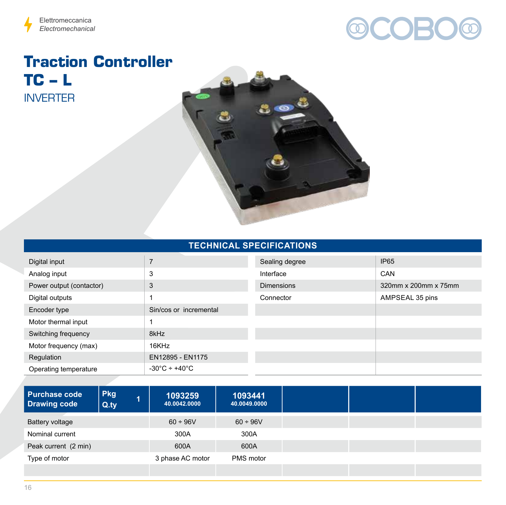# @COBO@

## **Traction Controller TC – L** INVERTER



| <b>TECHNICAL SPECIFICATIONS</b> |                                    |                   |                      |  |  |  |  |  |  |  |  |  |
|---------------------------------|------------------------------------|-------------------|----------------------|--|--|--|--|--|--|--|--|--|
| Digital input                   | 7                                  | Sealing degree    | <b>IP65</b>          |  |  |  |  |  |  |  |  |  |
| Analog input                    | 3                                  | Interface         | CAN                  |  |  |  |  |  |  |  |  |  |
| Power output (contactor)        | 3                                  | <b>Dimensions</b> | 320mm x 200mm x 75mm |  |  |  |  |  |  |  |  |  |
| Digital outputs                 |                                    | Connector         | AMPSEAL 35 pins      |  |  |  |  |  |  |  |  |  |
| Encoder type                    | Sin/cos or incremental             |                   |                      |  |  |  |  |  |  |  |  |  |
| Motor thermal input             | 1                                  |                   |                      |  |  |  |  |  |  |  |  |  |
| Switching frequency             | 8kHz                               |                   |                      |  |  |  |  |  |  |  |  |  |
| Motor frequency (max)           | 16KHz                              |                   |                      |  |  |  |  |  |  |  |  |  |
| Regulation                      | EN12895 - EN1175                   |                   |                      |  |  |  |  |  |  |  |  |  |
| Operating temperature           | $-30^{\circ}$ C ÷ +40 $^{\circ}$ C |                   |                      |  |  |  |  |  |  |  |  |  |

| <b>Purchase code</b><br><b>Drawing code</b> | <b>Pkg</b><br>Q.ty | 1093259<br>40.0042.0000 | 1093441<br>40.0049.0000 |  |  |
|---------------------------------------------|--------------------|-------------------------|-------------------------|--|--|
| <b>Battery voltage</b>                      |                    | $60 \div 96V$           | $60 \div 96V$           |  |  |
| Nominal current                             |                    | 300A                    | 300A                    |  |  |
| Peak current (2 min)                        |                    | 600A                    | 600A                    |  |  |
| Type of motor                               |                    | 3 phase AC motor        | PMS motor               |  |  |
|                                             |                    |                         |                         |  |  |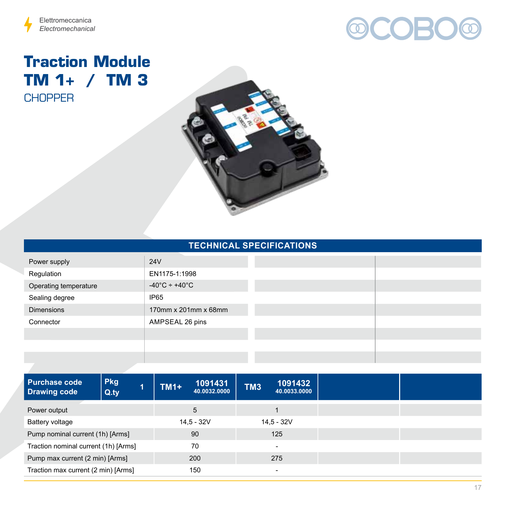# **@COBO@**

## **Traction Module TM 1+ / TM 3 CHOPPER**



| <b>TECHNICAL SPECIFICATIONS</b> |                                    |  |  |  |  |  |  |  |  |  |  |  |
|---------------------------------|------------------------------------|--|--|--|--|--|--|--|--|--|--|--|
| Power supply                    | <b>24V</b>                         |  |  |  |  |  |  |  |  |  |  |  |
| Regulation                      | EN1175-1:1998                      |  |  |  |  |  |  |  |  |  |  |  |
| Operating temperature           | $-40^{\circ}$ C ÷ +40 $^{\circ}$ C |  |  |  |  |  |  |  |  |  |  |  |
| Sealing degree                  | IP65                               |  |  |  |  |  |  |  |  |  |  |  |
| <b>Dimensions</b>               | 170mm x 201mm x 68mm               |  |  |  |  |  |  |  |  |  |  |  |
| Connector                       | AMPSEAL 26 pins                    |  |  |  |  |  |  |  |  |  |  |  |
|                                 |                                    |  |  |  |  |  |  |  |  |  |  |  |
|                                 |                                    |  |  |  |  |  |  |  |  |  |  |  |
|                                 |                                    |  |  |  |  |  |  |  |  |  |  |  |

| <b>Purchase code</b><br>Drawing code | <b>Pkg</b><br>Q.ty |              | $TM1+$ | 1091431<br>40.0032.0000 | TM <sub>3</sub>          | 1091432<br>40.0033.0000  |  |
|--------------------------------------|--------------------|--------------|--------|-------------------------|--------------------------|--------------------------|--|
| Power output                         |                    | 5            |        |                         |                          |                          |  |
| Battery voltage                      |                    | $14.5 - 32V$ |        | $14.5 - 32V$            |                          |                          |  |
| Pump nominal current (1h) [Arms]     |                    |              |        | 90                      |                          | 125                      |  |
| Traction nominal current (1h) [Arms] |                    |              |        | 70                      |                          | $\overline{\phantom{a}}$ |  |
| Pump max current (2 min) [Arms]      |                    | 200          |        | 275                     |                          |                          |  |
| Traction max current (2 min) [Arms]  |                    |              | 150    |                         | $\overline{\phantom{a}}$ |                          |  |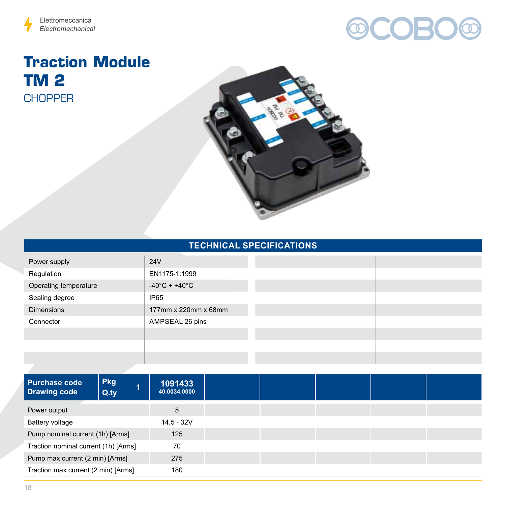# ©COBO©

## **Traction Module TM 2 CHOPPER**



|                       | <b>TECHNICAL SPECIFICATIONS</b>    |  |  |  |  |  |  |  |  |  |  |  |
|-----------------------|------------------------------------|--|--|--|--|--|--|--|--|--|--|--|
| Power supply          | <b>24V</b>                         |  |  |  |  |  |  |  |  |  |  |  |
| Regulation            | EN1175-1:1999                      |  |  |  |  |  |  |  |  |  |  |  |
| Operating temperature | $-40^{\circ}$ C ÷ +40 $^{\circ}$ C |  |  |  |  |  |  |  |  |  |  |  |
| Sealing degree        | IP <sub>65</sub>                   |  |  |  |  |  |  |  |  |  |  |  |
| <b>Dimensions</b>     | 177mm x 220mm x 68mm               |  |  |  |  |  |  |  |  |  |  |  |
| Connector             | AMPSEAL 26 pins                    |  |  |  |  |  |  |  |  |  |  |  |
|                       |                                    |  |  |  |  |  |  |  |  |  |  |  |
|                       |                                    |  |  |  |  |  |  |  |  |  |  |  |
|                       |                                    |  |  |  |  |  |  |  |  |  |  |  |

| <b>Purchase code</b><br><b>Drawing code</b> | <b>Pkg</b><br>Q.ty | 1091433<br>40.0034.0000 |  |  |  |
|---------------------------------------------|--------------------|-------------------------|--|--|--|
| Power output                                |                    | 5                       |  |  |  |
| Battery voltage                             |                    | 14,5 - 32V              |  |  |  |
| Pump nominal current (1h) [Arms]            |                    | 125                     |  |  |  |
| Traction nominal current (1h) [Arms]        |                    | 70                      |  |  |  |
| Pump max current (2 min) [Arms]             |                    | 275                     |  |  |  |
| Traction max current (2 min) [Arms]         |                    | 180                     |  |  |  |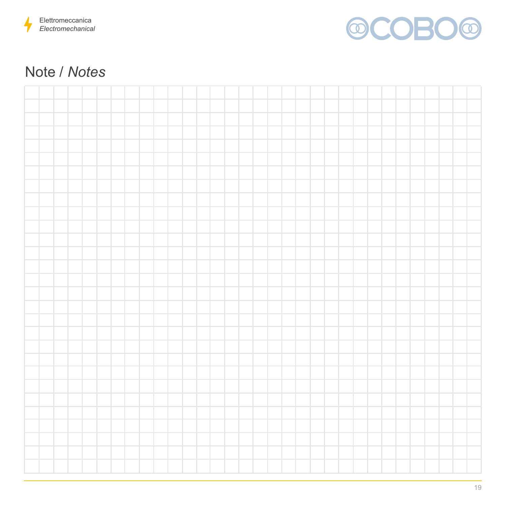



## Note / *Notes*